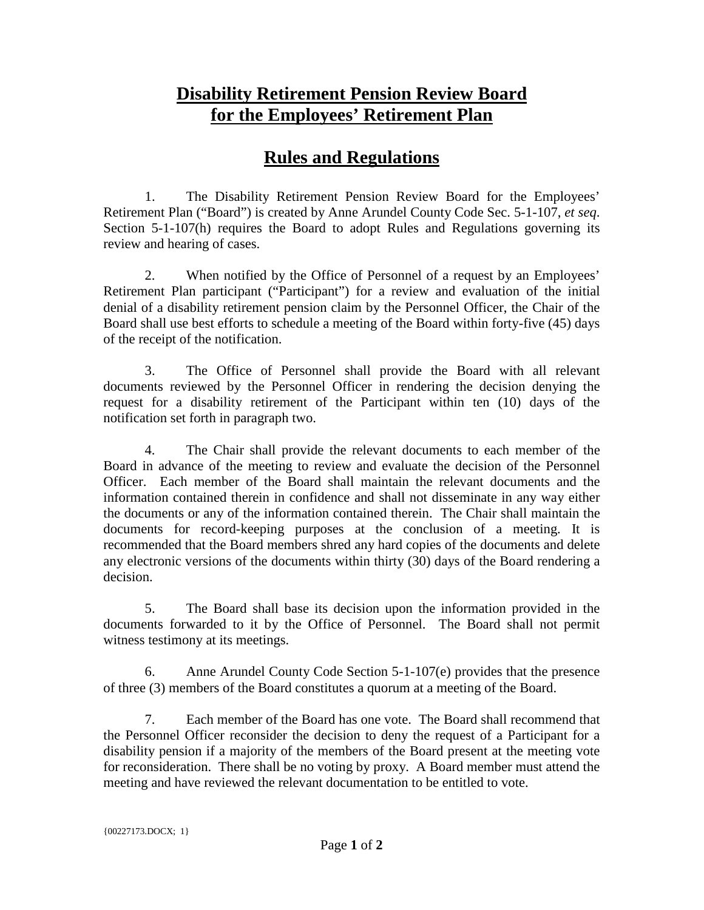## **Disability Retirement Pension Review Board for the Employees' Retirement Plan**

## **Rules and Regulations**

1. The Disability Retirement Pension Review Board for the Employees' Retirement Plan ("Board") is created by Anne Arundel County Code Sec. 5-1-107, *et seq*. Section 5-1-107(h) requires the Board to adopt Rules and Regulations governing its review and hearing of cases.

2. When notified by the Office of Personnel of a request by an Employees' Retirement Plan participant ("Participant") for a review and evaluation of the initial denial of a disability retirement pension claim by the Personnel Officer, the Chair of the Board shall use best efforts to schedule a meeting of the Board within forty-five (45) days of the receipt of the notification.

3. The Office of Personnel shall provide the Board with all relevant documents reviewed by the Personnel Officer in rendering the decision denying the request for a disability retirement of the Participant within ten (10) days of the notification set forth in paragraph two.

4. The Chair shall provide the relevant documents to each member of the Board in advance of the meeting to review and evaluate the decision of the Personnel Officer. Each member of the Board shall maintain the relevant documents and the information contained therein in confidence and shall not disseminate in any way either the documents or any of the information contained therein. The Chair shall maintain the documents for record-keeping purposes at the conclusion of a meeting. It is recommended that the Board members shred any hard copies of the documents and delete any electronic versions of the documents within thirty (30) days of the Board rendering a decision.

5. The Board shall base its decision upon the information provided in the documents forwarded to it by the Office of Personnel. The Board shall not permit witness testimony at its meetings.

6. Anne Arundel County Code Section 5-1-107(e) provides that the presence of three (3) members of the Board constitutes a quorum at a meeting of the Board.

7. Each member of the Board has one vote. The Board shall recommend that the Personnel Officer reconsider the decision to deny the request of a Participant for a disability pension if a majority of the members of the Board present at the meeting vote for reconsideration. There shall be no voting by proxy. A Board member must attend the meeting and have reviewed the relevant documentation to be entitled to vote.